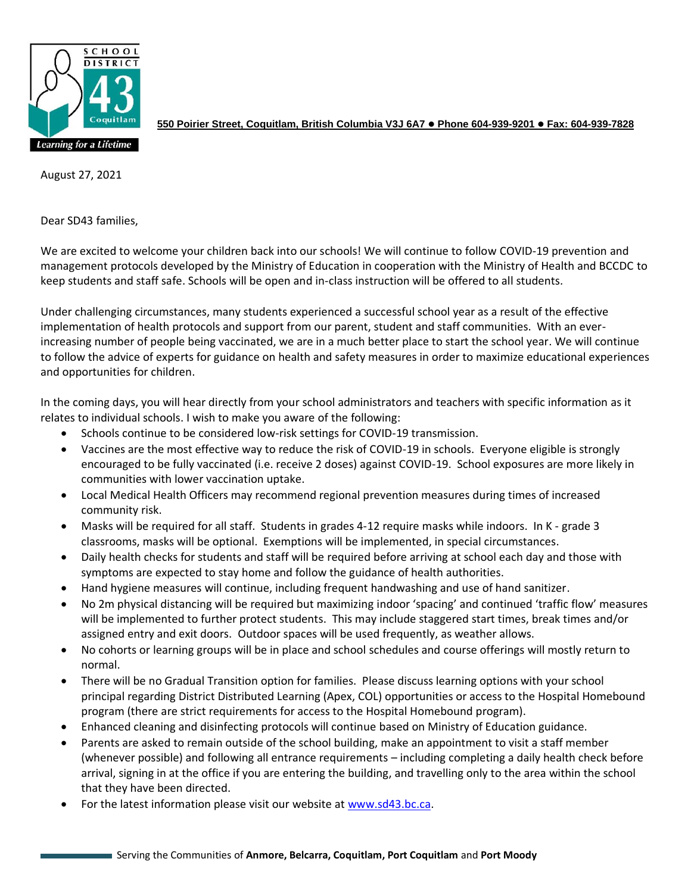

**550 Poirier Street, Coquitlam, British Columbia V3J 6A7** ⚫ **Phone 604-939-9201** ⚫ **Fax: 604-939-7828**

August 27, 2021

Dear SD43 families,

We are excited to welcome your children back into our schools! We will continue to follow COVID-19 prevention and management protocols developed by the Ministry of Education in cooperation with the Ministry of Health and BCCDC to keep students and staff safe. Schools will be open and in-class instruction will be offered to all students.

Under challenging circumstances, many students experienced a successful school year as a result of the effective implementation of health protocols and support from our parent, student and staff communities. With an everincreasing number of people being vaccinated, we are in a much better place to start the school year. We will continue to follow the advice of experts for guidance on health and safety measures in order to maximize educational experiences and opportunities for children.

In the coming days, you will hear directly from your school administrators and teachers with specific information as it relates to individual schools. I wish to make you aware of the following:

- Schools continue to be considered low-risk settings for COVID-19 transmission.
- Vaccines are the most effective way to reduce the risk of COVID-19 in schools. Everyone eligible is strongly encouraged to be fully vaccinated (i.e. receive 2 doses) against COVID-19. School exposures are more likely in communities with lower vaccination uptake.
- Local Medical Health Officers may recommend regional prevention measures during times of increased community risk.
- Masks will be required for all staff. Students in grades 4-12 require masks while indoors. In K grade 3 classrooms, masks will be optional. Exemptions will be implemented, in special circumstances.
- Daily health checks for students and staff will be required before arriving at school each day and those with symptoms are expected to stay home and follow the guidance of health authorities.
- Hand hygiene measures will continue, including frequent handwashing and use of hand sanitizer.
- No 2m physical distancing will be required but maximizing indoor 'spacing' and continued 'traffic flow' measures will be implemented to further protect students. This may include staggered start times, break times and/or assigned entry and exit doors. Outdoor spaces will be used frequently, as weather allows.
- No cohorts or learning groups will be in place and school schedules and course offerings will mostly return to normal.
- There will be no Gradual Transition option for families. Please discuss learning options with your school principal regarding District Distributed Learning (Apex, COL) opportunities or access to the Hospital Homebound program (there are strict requirements for access to the Hospital Homebound program).
- Enhanced cleaning and disinfecting protocols will continue based on Ministry of Education guidance.
- Parents are asked to remain outside of the school building, make an appointment to visit a staff member (whenever possible) and following all entrance requirements – including completing a daily health check before arrival, signing in at the office if you are entering the building, and travelling only to the area within the school that they have been directed.
- For the latest information please visit our website at [www.sd43.bc.ca.](http://www.sd43.bc.ca/)